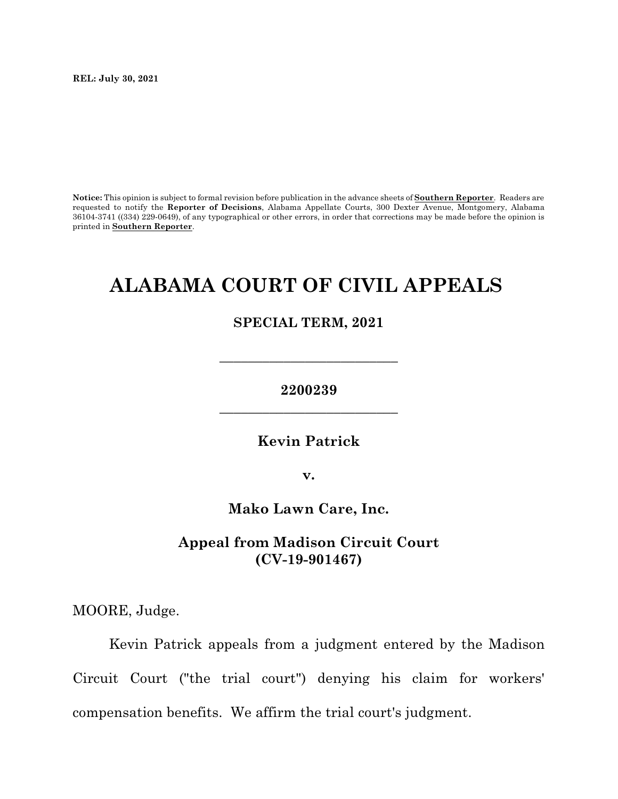**REL: July 30, 2021**

**Notice:** This opinion is subject to formal revision before publication in the advance sheets of **Southern Reporter**. Readers are requested to notify the **Reporter of Decisions**, Alabama Appellate Courts, 300 Dexter Avenue, Montgomery, Alabama 36104-3741 ((334) 229-0649), of any typographical or other errors, in order that corrections may be made before the opinion is printed in **Southern Reporter**.

# **ALABAMA COURT OF CIVIL APPEALS**

## **SPECIAL TERM, 2021**

# **2200239 \_\_\_\_\_\_\_\_\_\_\_\_\_\_\_\_\_\_\_\_\_\_\_\_\_**

**\_\_\_\_\_\_\_\_\_\_\_\_\_\_\_\_\_\_\_\_\_\_\_\_\_**

**Kevin Patrick**

**v.**

**Mako Lawn Care, Inc.**

# **Appeal from Madison Circuit Court (CV-19-901467)**

MOORE, Judge.

Kevin Patrick appeals from a judgment entered by the Madison Circuit Court ("the trial court") denying his claim for workers' compensation benefits. We affirm the trial court's judgment.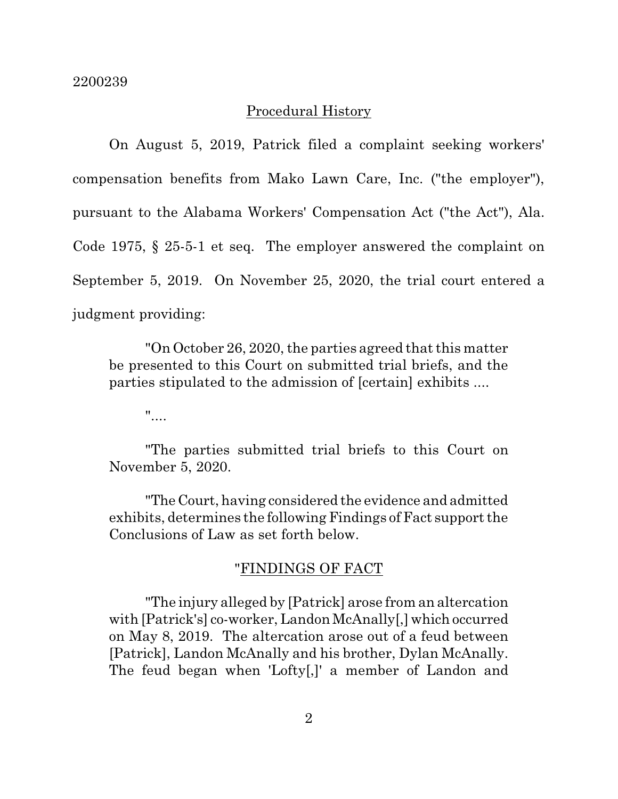## Procedural History

On August 5, 2019, Patrick filed a complaint seeking workers' compensation benefits from Mako Lawn Care, Inc. ("the employer"), pursuant to the Alabama Workers' Compensation Act ("the Act"), Ala. Code 1975, § 25-5-1 et seq. The employer answered the complaint on September 5, 2019. On November 25, 2020, the trial court entered a judgment providing:

"On October 26, 2020, the parties agreed that this matter be presented to this Court on submitted trial briefs, and the parties stipulated to the admission of [certain] exhibits ....

"....

"The parties submitted trial briefs to this Court on November 5, 2020.

"The Court, having considered the evidence and admitted exhibits, determines the following Findings of Fact support the Conclusions of Law as set forth below.

## "FINDINGS OF FACT

"The injury alleged by [Patrick] arose from an altercation with [Patrick's] co-worker, Landon McAnally[,] which occurred on May 8, 2019. The altercation arose out of a feud between [Patrick], Landon McAnally and his brother, Dylan McAnally. The feud began when 'Lofty[,]' a member of Landon and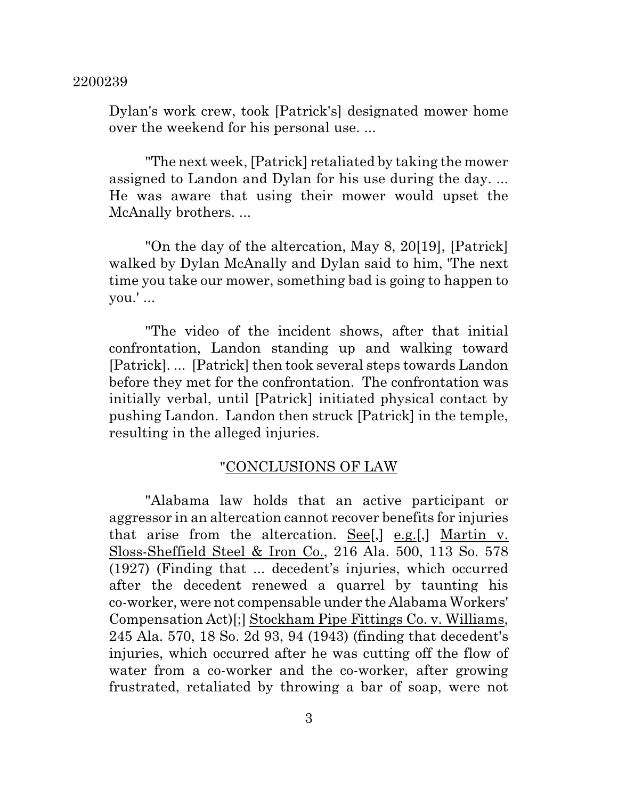Dylan's work crew, took [Patrick's] designated mower home over the weekend for his personal use. ...

"The next week, [Patrick] retaliated by taking the mower assigned to Landon and Dylan for his use during the day. ... He was aware that using their mower would upset the McAnally brothers. ...

"On the day of the altercation, May 8, 20[19], [Patrick] walked by Dylan McAnally and Dylan said to him, 'The next time you take our mower, something bad is going to happen to you.' ...

"The video of the incident shows, after that initial confrontation, Landon standing up and walking toward [Patrick]. ... [Patrick] then took several steps towards Landon before they met for the confrontation. The confrontation was initially verbal, until [Patrick] initiated physical contact by pushing Landon. Landon then struck [Patrick] in the temple, resulting in the alleged injuries.

## "CONCLUSIONS OF LAW

"Alabama law holds that an active participant or aggressor in an altercation cannot recover benefits for injuries that arise from the altercation. See[,] e.g.[,] Martin v. Sloss-Sheffield Steel & Iron Co., 216 Ala. 500, 113 So. 578 (1927) (Finding that ... decedent's injuries, which occurred after the decedent renewed a quarrel by taunting his co-worker, were not compensable under the Alabama Workers' Compensation Act)[;] Stockham Pipe Fittings Co. v. Williams, 245 Ala. 570, 18 So. 2d 93, 94 (1943) (finding that decedent's injuries, which occurred after he was cutting off the flow of water from a co-worker and the co-worker, after growing frustrated, retaliated by throwing a bar of soap, were not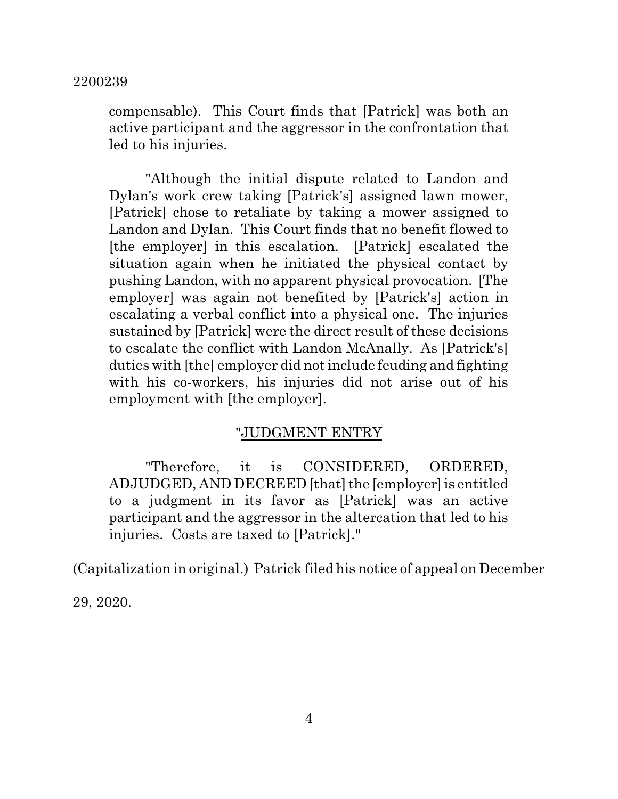compensable). This Court finds that [Patrick] was both an active participant and the aggressor in the confrontation that led to his injuries.

"Although the initial dispute related to Landon and Dylan's work crew taking [Patrick's] assigned lawn mower, [Patrick] chose to retaliate by taking a mower assigned to Landon and Dylan. This Court finds that no benefit flowed to [the employer] in this escalation. [Patrick] escalated the situation again when he initiated the physical contact by pushing Landon, with no apparent physical provocation. [The employer] was again not benefited by [Patrick's] action in escalating a verbal conflict into a physical one. The injuries sustained by [Patrick] were the direct result of these decisions to escalate the conflict with Landon McAnally. As [Patrick's] duties with [the] employer did notinclude feuding and fighting with his co-workers, his injuries did not arise out of his employment with [the employer].

#### "JUDGMENT ENTRY

"Therefore, it is CONSIDERED, ORDERED, ADJUDGED, AND DECREED [that] the [employer]is entitled to a judgment in its favor as [Patrick] was an active participant and the aggressor in the altercation that led to his injuries. Costs are taxed to [Patrick]."

(Capitalization in original.) Patrick filed his notice of appeal on December

29, 2020.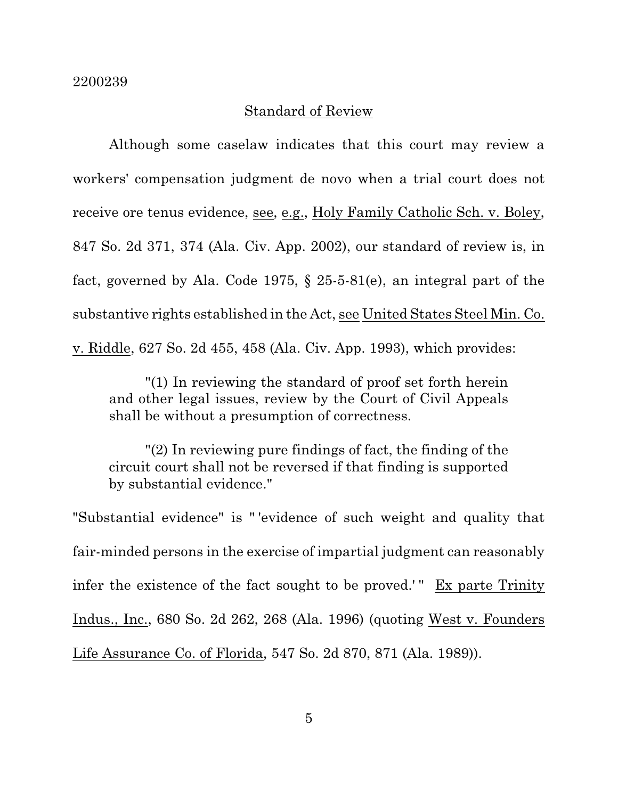#### Standard of Review

Although some caselaw indicates that this court may review a workers' compensation judgment de novo when a trial court does not receive ore tenus evidence, see, e.g., Holy Family Catholic Sch. v. Boley, 847 So. 2d 371, 374 (Ala. Civ. App. 2002), our standard of review is, in fact, governed by Ala. Code 1975, § 25-5-81(e), an integral part of the substantive rights established in the Act, see United States Steel Min. Co. v. Riddle, 627 So. 2d 455, 458 (Ala. Civ. App. 1993), which provides:

"(1) In reviewing the standard of proof set forth herein and other legal issues, review by the Court of Civil Appeals shall be without a presumption of correctness.

"(2) In reviewing pure findings of fact, the finding of the circuit court shall not be reversed if that finding is supported by substantial evidence."

"Substantial evidence" is " 'evidence of such weight and quality that fair-minded persons in the exercise of impartial judgment can reasonably infer the existence of the fact sought to be proved.'" Ex parte Trinity Indus., Inc., 680 So. 2d 262, 268 (Ala. 1996) (quoting West v. Founders Life Assurance Co. of Florida, 547 So. 2d 870, 871 (Ala. 1989)).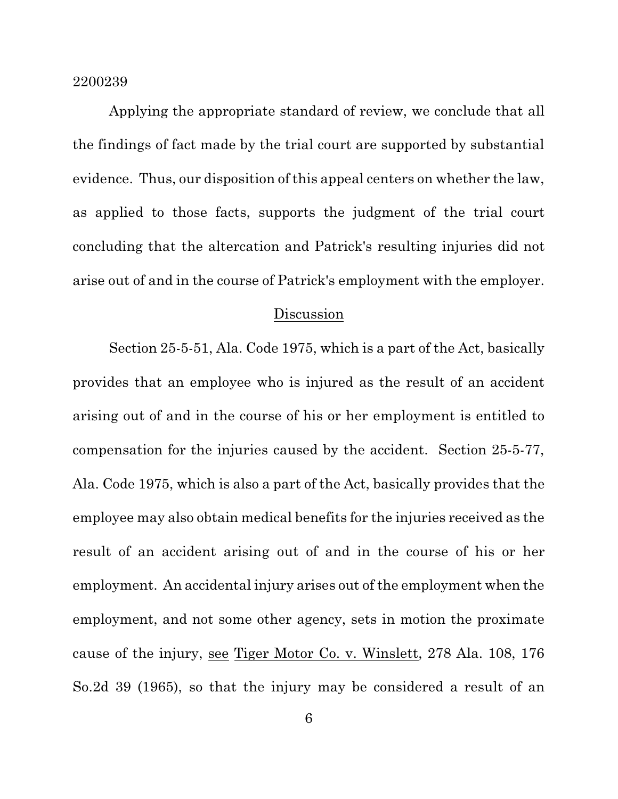Applying the appropriate standard of review, we conclude that all the findings of fact made by the trial court are supported by substantial evidence. Thus, our disposition of this appeal centers on whether the law, as applied to those facts, supports the judgment of the trial court concluding that the altercation and Patrick's resulting injuries did not arise out of and in the course of Patrick's employment with the employer.

#### Discussion

Section 25-5-51, Ala. Code 1975, which is a part of the Act, basically provides that an employee who is injured as the result of an accident arising out of and in the course of his or her employment is entitled to compensation for the injuries caused by the accident. Section 25-5-77, Ala. Code 1975, which is also a part of the Act, basically provides that the employee may also obtain medical benefits for the injuries received as the result of an accident arising out of and in the course of his or her employment. An accidental injury arises out of the employment when the employment, and not some other agency, sets in motion the proximate cause of the injury, see Tiger Motor Co. v. Winslett, 278 Ala. 108, 176 So.2d 39 (1965), so that the injury may be considered a result of an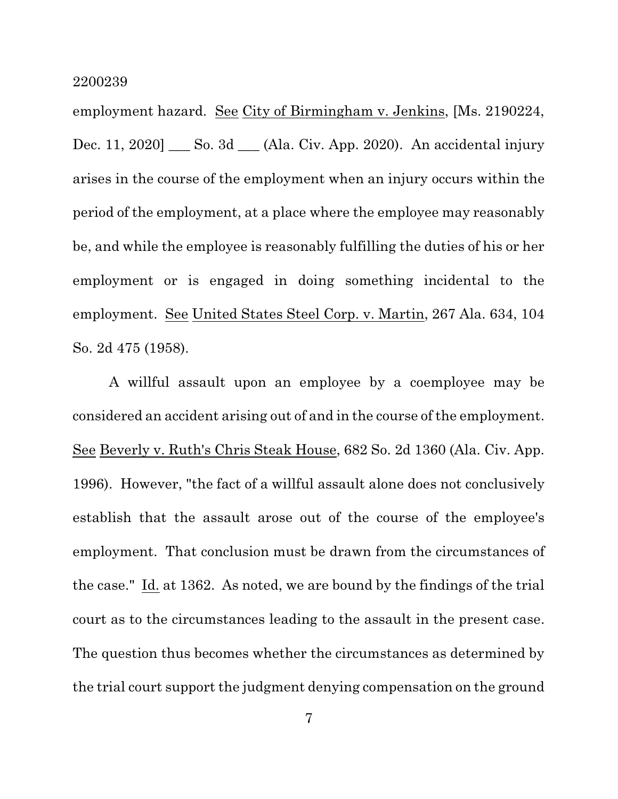employment hazard. See City of Birmingham v. Jenkins, [Ms. 2190224, Dec. 11, 2020] \_\_\_ So. 3d \_\_\_ (Ala. Civ. App. 2020). An accidental injury arises in the course of the employment when an injury occurs within the period of the employment, at a place where the employee may reasonably be, and while the employee is reasonably fulfilling the duties of his or her employment or is engaged in doing something incidental to the employment. See United States Steel Corp. v. Martin, 267 Ala. 634, 104 So. 2d 475 (1958).

A willful assault upon an employee by a coemployee may be considered an accident arising out of and in the course of the employment. See Beverly v. Ruth's Chris Steak House, 682 So. 2d 1360 (Ala. Civ. App. 1996). However, "the fact of a willful assault alone does not conclusively establish that the assault arose out of the course of the employee's employment. That conclusion must be drawn from the circumstances of the case." Id. at 1362. As noted, we are bound by the findings of the trial court as to the circumstances leading to the assault in the present case. The question thus becomes whether the circumstances as determined by the trial court support the judgment denying compensation on the ground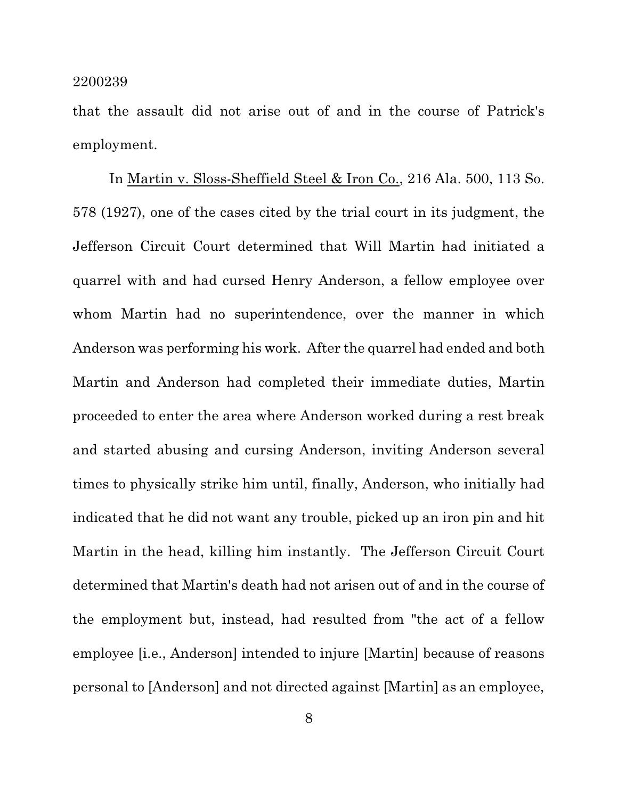that the assault did not arise out of and in the course of Patrick's employment.

In Martin v. Sloss-Sheffield Steel & Iron Co., 216 Ala. 500, 113 So. 578 (1927), one of the cases cited by the trial court in its judgment, the Jefferson Circuit Court determined that Will Martin had initiated a quarrel with and had cursed Henry Anderson, a fellow employee over whom Martin had no superintendence, over the manner in which Anderson was performing his work. After the quarrel had ended and both Martin and Anderson had completed their immediate duties, Martin proceeded to enter the area where Anderson worked during a rest break and started abusing and cursing Anderson, inviting Anderson several times to physically strike him until, finally, Anderson, who initially had indicated that he did not want any trouble, picked up an iron pin and hit Martin in the head, killing him instantly. The Jefferson Circuit Court determined that Martin's death had not arisen out of and in the course of the employment but, instead, had resulted from "the act of a fellow employee [i.e., Anderson] intended to injure [Martin] because of reasons personal to [Anderson] and not directed against [Martin] as an employee,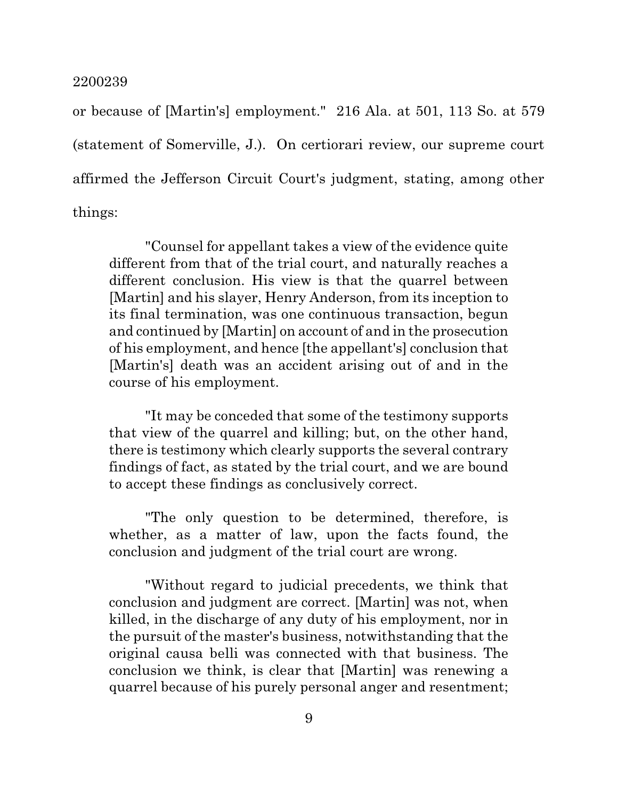or because of [Martin's] employment." 216 Ala. at 501, 113 So. at 579 (statement of Somerville, J.). On certiorari review, our supreme court affirmed the Jefferson Circuit Court's judgment, stating, among other things:

"Counsel for appellant takes a view of the evidence quite different from that of the trial court, and naturally reaches a different conclusion. His view is that the quarrel between [Martin] and his slayer, Henry Anderson, from its inception to its final termination, was one continuous transaction, begun and continued by [Martin] on account of and in the prosecution of his employment, and hence [the appellant's] conclusion that [Martin's] death was an accident arising out of and in the course of his employment.

"It may be conceded that some of the testimony supports that view of the quarrel and killing; but, on the other hand, there is testimony which clearly supports the several contrary findings of fact, as stated by the trial court, and we are bound to accept these findings as conclusively correct.

"The only question to be determined, therefore, is whether, as a matter of law, upon the facts found, the conclusion and judgment of the trial court are wrong.

"Without regard to judicial precedents, we think that conclusion and judgment are correct. [Martin] was not, when killed, in the discharge of any duty of his employment, nor in the pursuit of the master's business, notwithstanding that the original causa belli was connected with that business. The conclusion we think, is clear that [Martin] was renewing a quarrel because of his purely personal anger and resentment;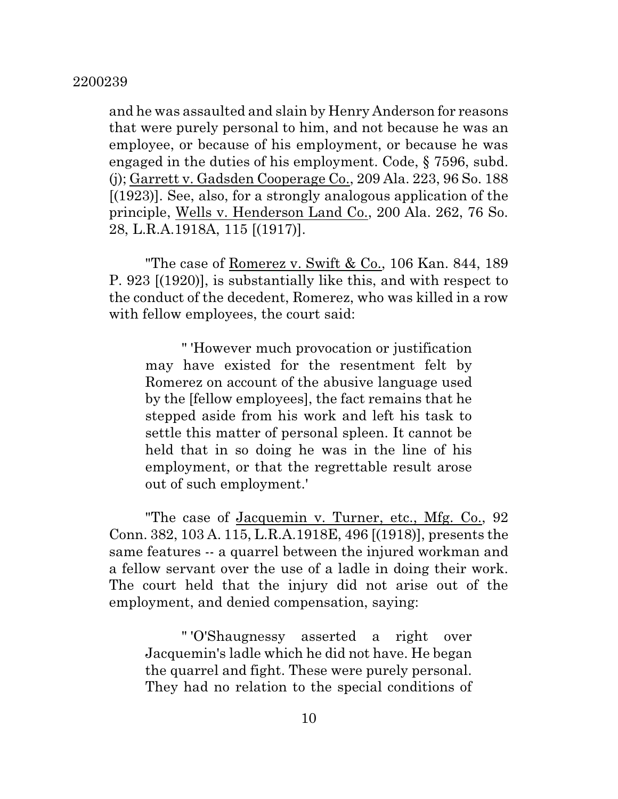and he was assaulted and slain by Henry Anderson for reasons that were purely personal to him, and not because he was an employee, or because of his employment, or because he was engaged in the duties of his employment. Code, § 7596, subd. (j); Garrett v. Gadsden Cooperage Co., 209 Ala. 223, 96 So. 188 [(1923)]. See, also, for a strongly analogous application of the principle, Wells v. Henderson Land Co., 200 Ala. 262, 76 So. 28, L.R.A.1918A, 115 [(1917)].

"The case of Romerez v. Swift & Co., 106 Kan. 844, 189 P. 923 [(1920)], is substantially like this, and with respect to the conduct of the decedent, Romerez, who was killed in a row with fellow employees, the court said:

" 'However much provocation or justification may have existed for the resentment felt by Romerez on account of the abusive language used by the [fellow employees], the fact remains that he stepped aside from his work and left his task to settle this matter of personal spleen. It cannot be held that in so doing he was in the line of his employment, or that the regrettable result arose out of such employment.'

"The case of Jacquemin v. Turner, etc., Mfg. Co., 92 Conn. 382, 103 A. 115, L.R.A.1918E, 496 [(1918)], presents the same features -- a quarrel between the injured workman and a fellow servant over the use of a ladle in doing their work. The court held that the injury did not arise out of the employment, and denied compensation, saying:

" 'O'Shaugnessy asserted a right over Jacquemin's ladle which he did not have. He began the quarrel and fight. These were purely personal. They had no relation to the special conditions of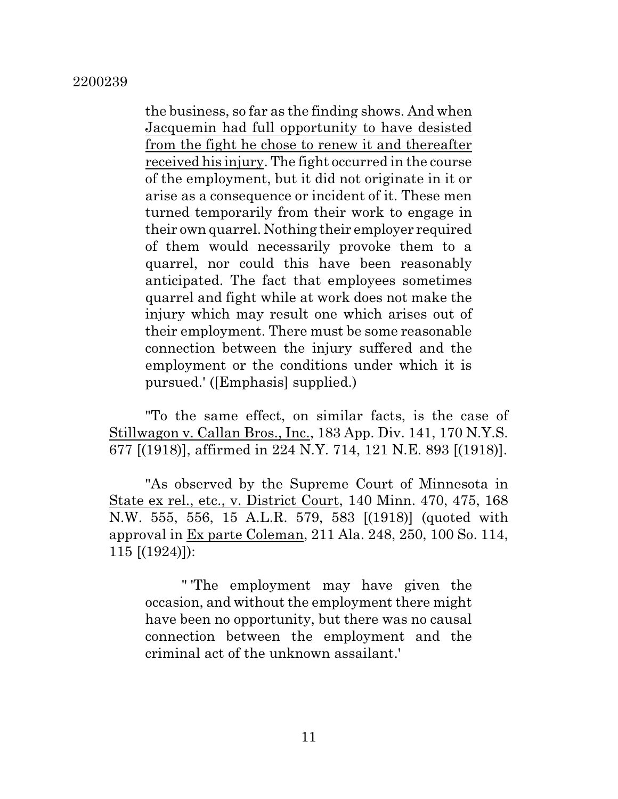the business, so far as the finding shows. And when Jacquemin had full opportunity to have desisted from the fight he chose to renew it and thereafter received his injury. The fight occurred in the course of the employment, but it did not originate in it or arise as a consequence or incident of it. These men turned temporarily from their work to engage in their own quarrel. Nothing their employer required of them would necessarily provoke them to a quarrel, nor could this have been reasonably anticipated. The fact that employees sometimes quarrel and fight while at work does not make the injury which may result one which arises out of their employment. There must be some reasonable connection between the injury suffered and the employment or the conditions under which it is pursued.' ([Emphasis] supplied.)

"To the same effect, on similar facts, is the case of Stillwagon v. Callan Bros., Inc., 183 App. Div. 141, 170 N.Y.S. 677 [(1918)], affirmed in 224 N.Y. 714, 121 N.E. 893 [(1918)].

"As observed by the Supreme Court of Minnesota in State ex rel., etc., v. District Court, 140 Minn. 470, 475, 168 N.W. 555, 556, 15 A.L.R. 579, 583 [(1918)] (quoted with approval in Ex parte Coleman, 211 Ala. 248, 250, 100 So. 114, 115 [(1924)]):

" 'The employment may have given the occasion, and without the employment there might have been no opportunity, but there was no causal connection between the employment and the criminal act of the unknown assailant.'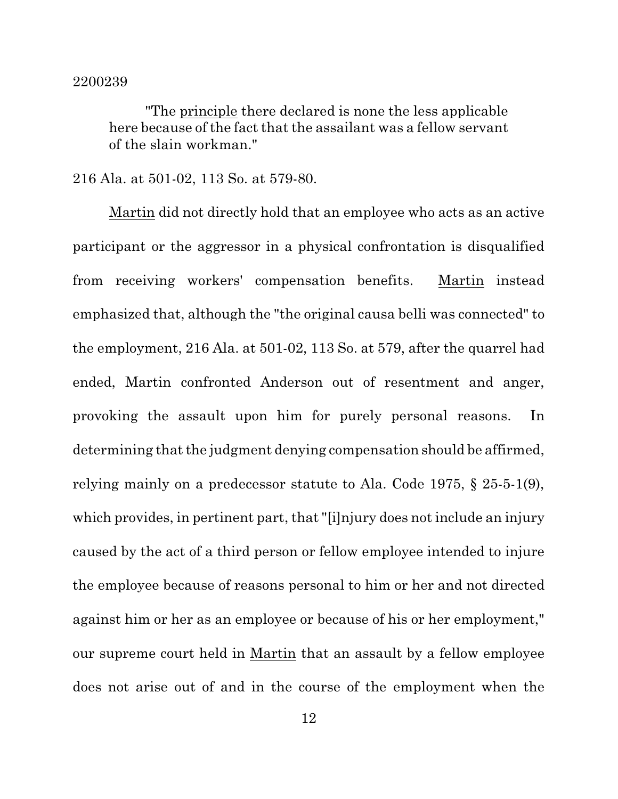"The principle there declared is none the less applicable here because of the fact that the assailant was a fellow servant of the slain workman."

## 216 Ala. at 501-02, 113 So. at 579-80.

Martin did not directly hold that an employee who acts as an active participant or the aggressor in a physical confrontation is disqualified from receiving workers' compensation benefits. Martin instead emphasized that, although the "the original causa belli was connected" to the employment, 216 Ala. at 501-02, 113 So. at 579, after the quarrel had ended, Martin confronted Anderson out of resentment and anger, provoking the assault upon him for purely personal reasons. In determining that the judgment denying compensation should be affirmed, relying mainly on a predecessor statute to Ala. Code 1975, § 25-5-1(9), which provides, in pertinent part, that "[i]njury does not include an injury caused by the act of a third person or fellow employee intended to injure the employee because of reasons personal to him or her and not directed against him or her as an employee or because of his or her employment," our supreme court held in Martin that an assault by a fellow employee does not arise out of and in the course of the employment when the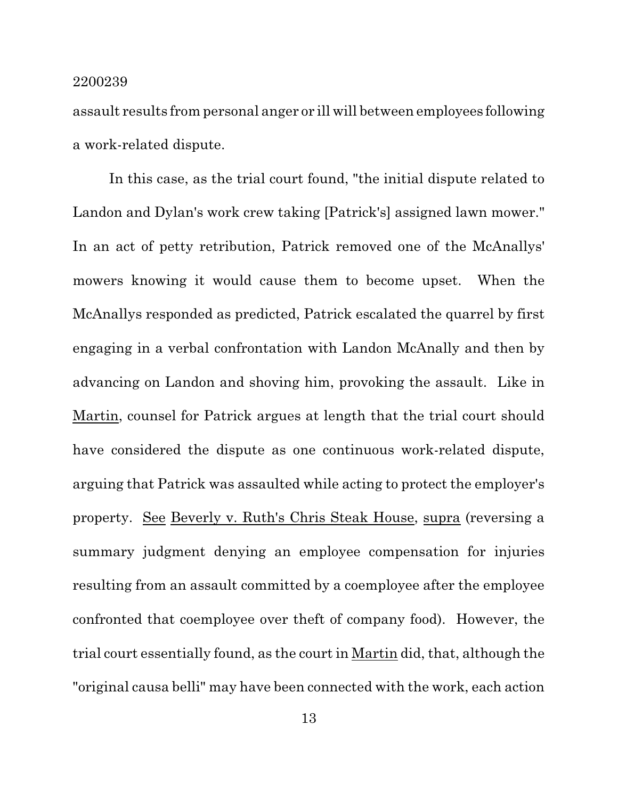assault results from personal anger or ill will between employees following a work-related dispute.

In this case, as the trial court found, "the initial dispute related to Landon and Dylan's work crew taking [Patrick's] assigned lawn mower." In an act of petty retribution, Patrick removed one of the McAnallys' mowers knowing it would cause them to become upset. When the McAnallys responded as predicted, Patrick escalated the quarrel by first engaging in a verbal confrontation with Landon McAnally and then by advancing on Landon and shoving him, provoking the assault. Like in Martin, counsel for Patrick argues at length that the trial court should have considered the dispute as one continuous work-related dispute, arguing that Patrick was assaulted while acting to protect the employer's property. See Beverly v. Ruth's Chris Steak House, supra (reversing a summary judgment denying an employee compensation for injuries resulting from an assault committed by a coemployee after the employee confronted that coemployee over theft of company food). However, the trial court essentially found, as the court in Martin did, that, although the "original causa belli" may have been connected with the work, each action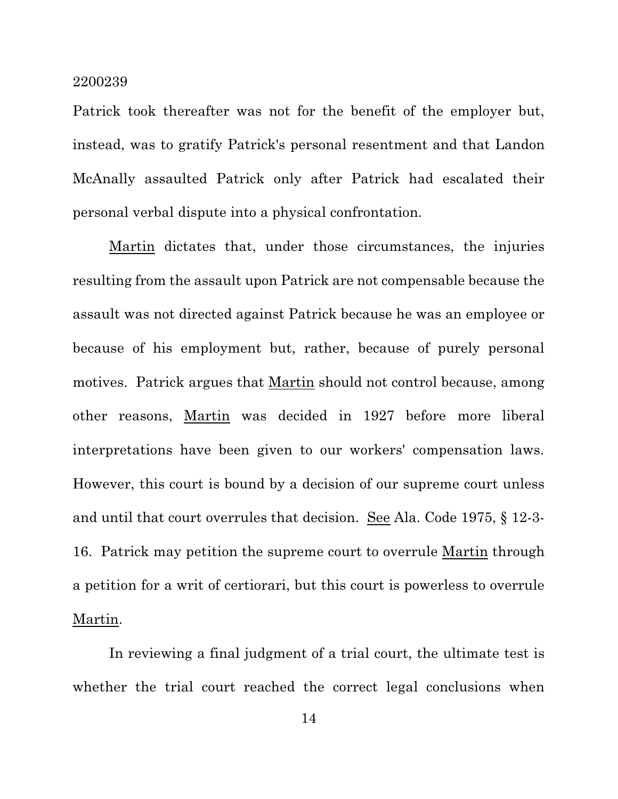Patrick took thereafter was not for the benefit of the employer but, instead, was to gratify Patrick's personal resentment and that Landon McAnally assaulted Patrick only after Patrick had escalated their personal verbal dispute into a physical confrontation.

Martin dictates that, under those circumstances, the injuries resulting from the assault upon Patrick are not compensable because the assault was not directed against Patrick because he was an employee or because of his employment but, rather, because of purely personal motives. Patrick argues that Martin should not control because, among other reasons, Martin was decided in 1927 before more liberal interpretations have been given to our workers' compensation laws. However, this court is bound by a decision of our supreme court unless and until that court overrules that decision. See Ala. Code 1975, § 12-3- 16. Patrick may petition the supreme court to overrule Martin through a petition for a writ of certiorari, but this court is powerless to overrule Martin.

In reviewing a final judgment of a trial court, the ultimate test is whether the trial court reached the correct legal conclusions when